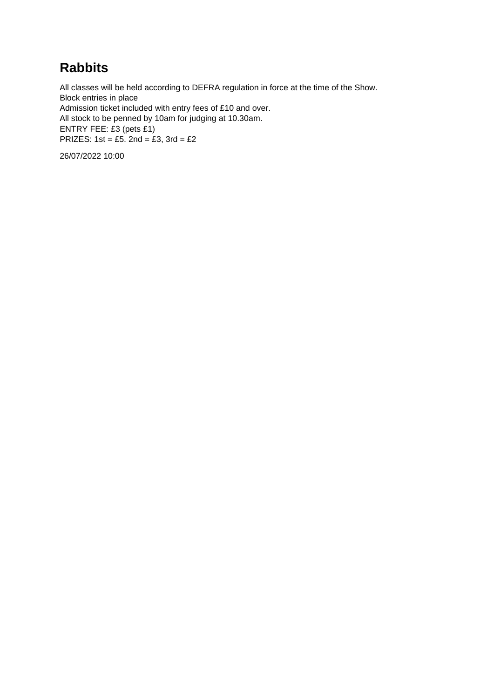### **Rabbits**

All classes will be held according to DEFRA regulation in force at the time of the Show. Block entries in place Admission ticket included with entry fees of £10 and over. All stock to be penned by 10am for judging at 10.30am. ENTRY FEE: £3 (pets £1) PRIZES:  $1st = £5$ .  $2nd = £3$ ,  $3rd = £2$ 

26/07/2022 10:00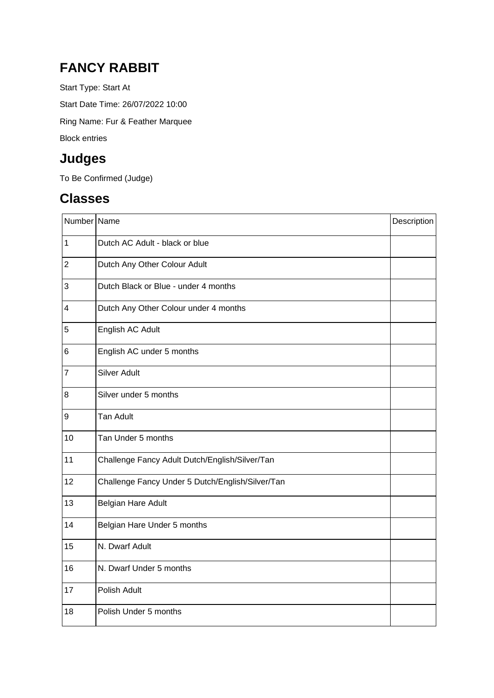### **FANCY RABBIT**

Start Type: Start At Start Date Time: 26/07/2022 10:00

Ring Name: Fur & Feather Marquee

Block entries

# **Judges**

To Be Confirmed (Judge)

# **Classes**

| Number Name             |                                                  | Description |
|-------------------------|--------------------------------------------------|-------------|
| $\mathbf 1$             | Dutch AC Adult - black or blue                   |             |
| $\overline{c}$          | Dutch Any Other Colour Adult                     |             |
| 3                       | Dutch Black or Blue - under 4 months             |             |
| $\overline{\mathbf{4}}$ | Dutch Any Other Colour under 4 months            |             |
| 5                       | English AC Adult                                 |             |
| 6                       | English AC under 5 months                        |             |
| $\overline{7}$          | <b>Silver Adult</b>                              |             |
| 8                       | Silver under 5 months                            |             |
| 9                       | <b>Tan Adult</b>                                 |             |
| 10                      | Tan Under 5 months                               |             |
| 11                      | Challenge Fancy Adult Dutch/English/Silver/Tan   |             |
| 12                      | Challenge Fancy Under 5 Dutch/English/Silver/Tan |             |
| 13                      | Belgian Hare Adult                               |             |
| 14                      | Belgian Hare Under 5 months                      |             |
| 15                      | N. Dwarf Adult                                   |             |
| 16                      | N. Dwarf Under 5 months                          |             |
| 17                      | Polish Adult                                     |             |
| 18                      | Polish Under 5 months                            |             |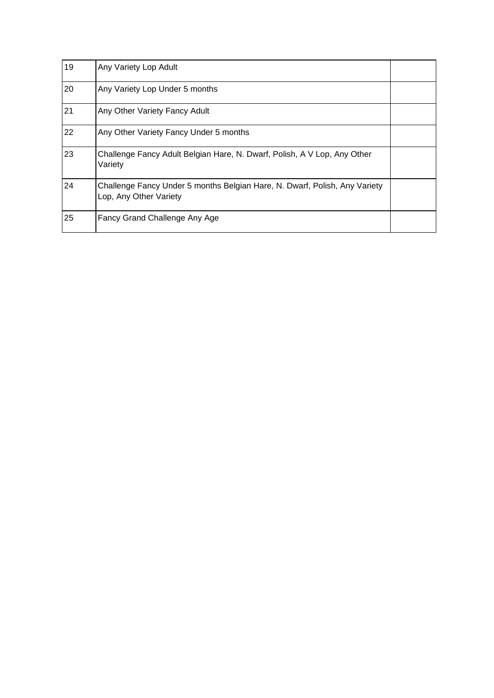| 19 | Any Variety Lop Adult                                                                                |  |
|----|------------------------------------------------------------------------------------------------------|--|
| 20 | Any Variety Lop Under 5 months                                                                       |  |
| 21 | Any Other Variety Fancy Adult                                                                        |  |
| 22 | Any Other Variety Fancy Under 5 months                                                               |  |
| 23 | Challenge Fancy Adult Belgian Hare, N. Dwarf, Polish, A V Lop, Any Other<br>Variety                  |  |
| 24 | Challenge Fancy Under 5 months Belgian Hare, N. Dwarf, Polish, Any Variety<br>Lop, Any Other Variety |  |
| 25 | Fancy Grand Challenge Any Age                                                                        |  |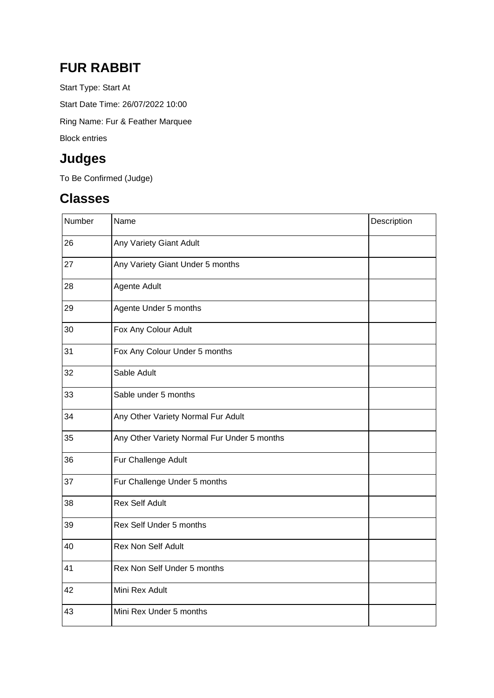#### **FUR RABBIT**

Start Type: Start At Start Date Time: 26/07/2022 10:00 Ring Name: Fur & Feather Marquee Block entries

### **Judges**

To Be Confirmed (Judge)

### **Classes**

| Number | Name                                        | Description |
|--------|---------------------------------------------|-------------|
| 26     | Any Variety Giant Adult                     |             |
| 27     | Any Variety Giant Under 5 months            |             |
| 28     | Agente Adult                                |             |
| 29     | Agente Under 5 months                       |             |
| 30     | Fox Any Colour Adult                        |             |
| 31     | Fox Any Colour Under 5 months               |             |
| 32     | Sable Adult                                 |             |
| 33     | Sable under 5 months                        |             |
| 34     | Any Other Variety Normal Fur Adult          |             |
| 35     | Any Other Variety Normal Fur Under 5 months |             |
| 36     | Fur Challenge Adult                         |             |
| 37     | Fur Challenge Under 5 months                |             |
| 38     | <b>Rex Self Adult</b>                       |             |
| 39     | Rex Self Under 5 months                     |             |
| 40     | Rex Non Self Adult                          |             |
| 41     | Rex Non Self Under 5 months                 |             |
| 42     | Mini Rex Adult                              |             |
| 43     | Mini Rex Under 5 months                     |             |
|        |                                             |             |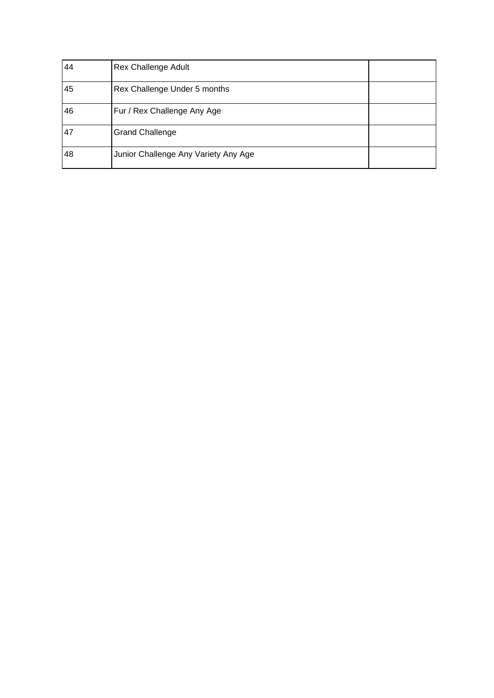| 44 | <b>Rex Challenge Adult</b>           |  |
|----|--------------------------------------|--|
| 45 | Rex Challenge Under 5 months         |  |
| 46 | Fur / Rex Challenge Any Age          |  |
| 47 | <b>Grand Challenge</b>               |  |
| 48 | Junior Challenge Any Variety Any Age |  |